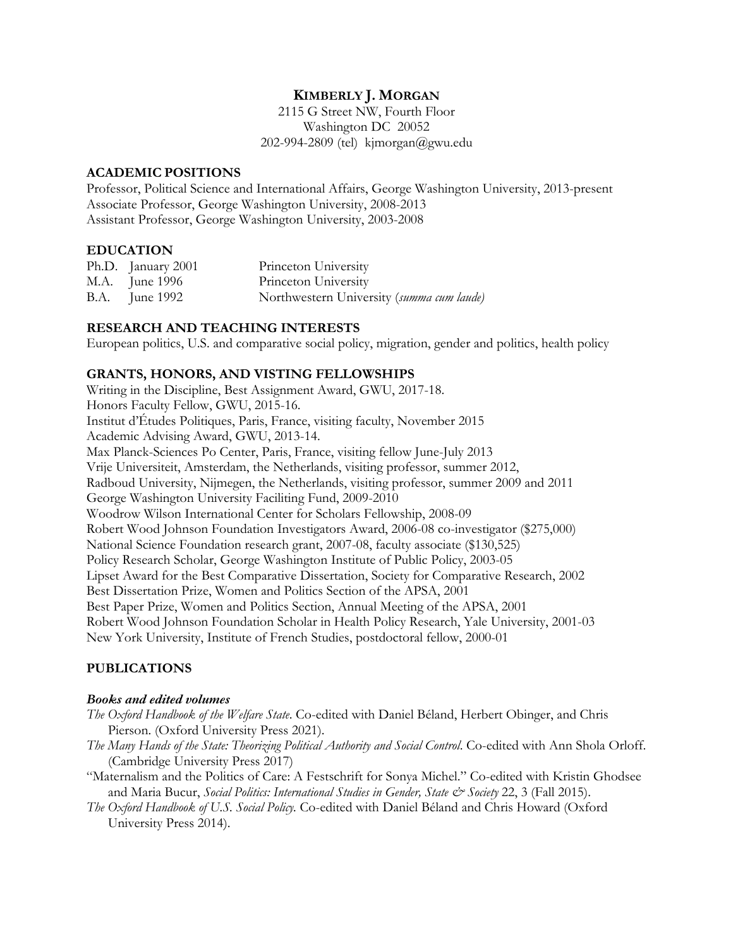# **KIMBERLY J. MORGAN**

2115 G Street NW, Fourth Floor Washington DC 20052 202-994-2809 (tel) kjmorgan@gwu.edu

### **ACADEMIC POSITIONS**

Professor, Political Science and International Affairs, George Washington University, 2013-present Associate Professor, George Washington University, 2008-2013 Assistant Professor, George Washington University, 2003-2008

## **EDUCATION**

| Ph.D. January 2001    | Princeton University                      |
|-----------------------|-------------------------------------------|
| M.A. June 1996        | Princeton University                      |
| <b>B.A.</b> June 1992 | Northwestern University (summa cum laude) |

## **RESEARCH AND TEACHING INTERESTS**

European politics, U.S. and comparative social policy, migration, gender and politics, health policy

## **GRANTS, HONORS, AND VISTING FELLOWSHIPS**

Writing in the Discipline, Best Assignment Award, GWU, 2017-18. Honors Faculty Fellow, GWU, 2015-16. Institut d'Études Politiques, Paris, France, visiting faculty, November 2015 Academic Advising Award, GWU, 2013-14. Max Planck-Sciences Po Center, Paris, France, visiting fellow June-July 2013 Vrije Universiteit, Amsterdam, the Netherlands, visiting professor, summer 2012, Radboud University, Nijmegen, the Netherlands, visiting professor, summer 2009 and 2011 George Washington University Faciliting Fund, 2009-2010 Woodrow Wilson International Center for Scholars Fellowship, 2008-09 Robert Wood Johnson Foundation Investigators Award, 2006-08 co-investigator (\$275,000) National Science Foundation research grant, 2007-08, faculty associate (\$130,525) Policy Research Scholar, George Washington Institute of Public Policy, 2003-05 Lipset Award for the Best Comparative Dissertation, Society for Comparative Research, 2002 Best Dissertation Prize, Women and Politics Section of the APSA, 2001 Best Paper Prize, Women and Politics Section, Annual Meeting of the APSA, 2001 Robert Wood Johnson Foundation Scholar in Health Policy Research, Yale University, 2001-03 New York University, Institute of French Studies, postdoctoral fellow, 2000-01

# **PUBLICATIONS**

#### *Books and edited volumes*

- *The Oxford Handbook of the Welfare State*. Co-edited with Daniel Béland, Herbert Obinger, and Chris Pierson. (Oxford University Press 2021).
- *The Many Hands of the State: Theorizing Political Authority and Social Control*. Co-edited with Ann Shola Orloff. (Cambridge University Press 2017)
- "Maternalism and the Politics of Care: A Festschrift for Sonya Michel." Co-edited with Kristin Ghodsee and Maria Bucur, *Social Politics: International Studies in Gender, State & Society* 22, 3 (Fall 2015).
- *The Oxford Handbook of U.S. Social Policy.* Co-edited with Daniel Béland and Chris Howard (Oxford University Press 2014).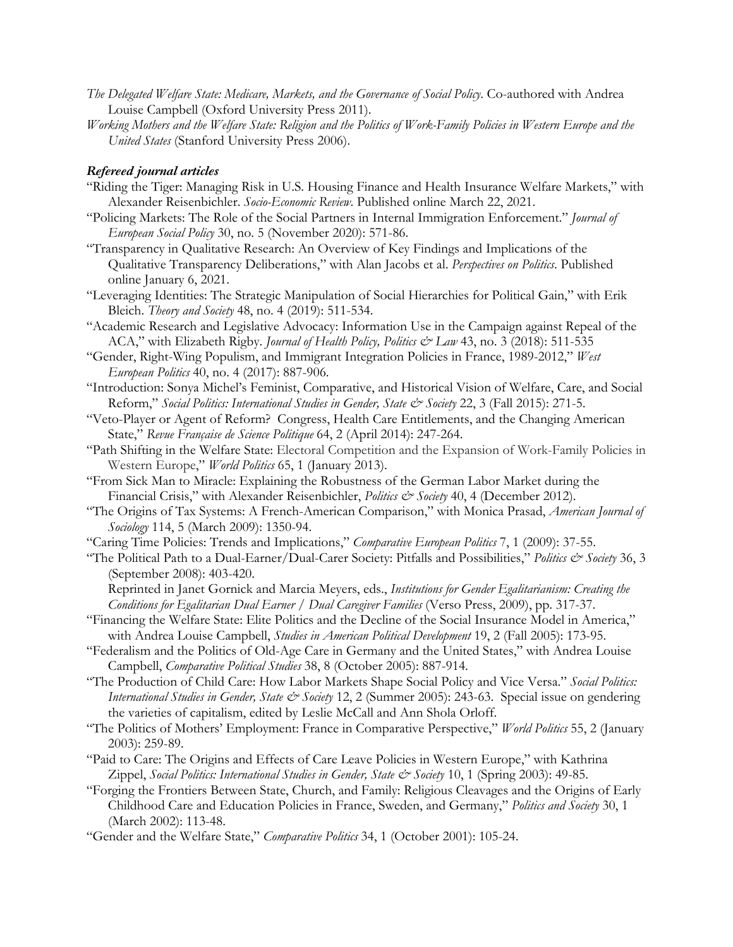- *The Delegated Welfare State: Medicare, Markets, and the Governance of Social Policy*. Co-authored with Andrea Louise Campbell (Oxford University Press 2011).
- *Working Mothers and the Welfare State: Religion and the Politics of Work-Family Policies in Western Europe and the United States* (Stanford University Press 2006).

#### *Refereed journal articles*

- "Riding the Tiger: Managing Risk in U.S. Housing Finance and Health Insurance Welfare Markets," with Alexander Reisenbichler. *Socio-Economic Review*. Published online March 22, 2021.
- "Policing Markets: The Role of the Social Partners in Internal Immigration Enforcement." *Journal of European Social Policy* 30, no. 5 (November 2020): 571-86.
- "Transparency in Qualitative Research: An Overview of Key Findings and Implications of the Qualitative Transparency Deliberations," with Alan Jacobs et al. *Perspectives on Politics*. Published online January 6, 2021.
- "Leveraging Identities: The Strategic Manipulation of Social Hierarchies for Political Gain," with Erik Bleich. *Theory and Society* 48, no. 4 (2019): 511-534.
- "Academic Research and Legislative Advocacy: Information Use in the Campaign against Repeal of the ACA," with Elizabeth Rigby. *Journal of Health Policy, Politics & Law* 43, no. 3 (2018): 511-535
- "Gender, Right-Wing Populism, and Immigrant Integration Policies in France, 1989-2012," *West European Politics* 40, no. 4 (2017): 887-906.
- "Introduction: Sonya Michel's Feminist, Comparative, and Historical Vision of Welfare, Care, and Social Reform," *Social Politics: International Studies in Gender, State & Society* 22, 3 (Fall 2015): 271-5.
- "Veto-Player or Agent of Reform? Congress, Health Care Entitlements, and the Changing American State," *Revue Française de Science Politique* 64, 2 (April 2014): 247-264.
- "Path Shifting in the Welfare State: Electoral Competition and the Expansion of Work-Family Policies in Western Europe," *World Politics* 65, 1 (January 2013).
- "From Sick Man to Miracle: Explaining the Robustness of the German Labor Market during the Financial Crisis," with Alexander Reisenbichler, *Politics & Society* 40, 4 (December 2012).
- "The Origins of Tax Systems: A French-American Comparison," with Monica Prasad, *American Journal of Sociology* 114, 5 (March 2009): 1350-94.
- "Caring Time Policies: Trends and Implications," *Comparative European Politics* 7, 1 (2009): 37-55.
- "The Political Path to a Dual-Earner/Dual-Carer Society: Pitfalls and Possibilities," *Politics & Society* 36, 3 (September 2008): 403-420.
	- Reprinted in Janet Gornick and Marcia Meyers, eds., *Institutions for Gender Egalitarianism: Creating the Conditions for Egalitarian Dual Earner / Dual Caregiver Families* (Verso Press, 2009), pp. 317-37.
- "Financing the Welfare State: Elite Politics and the Decline of the Social Insurance Model in America," with Andrea Louise Campbell, *Studies in American Political Development* 19, 2 (Fall 2005): 173-95.
- "Federalism and the Politics of Old-Age Care in Germany and the United States," with Andrea Louise Campbell, *Comparative Political Studies* 38, 8 (October 2005): 887-914.
- "The Production of Child Care: How Labor Markets Shape Social Policy and Vice Versa." *Social Politics: International Studies in Gender, State & Society* 12, 2 (Summer 2005): 243-63. Special issue on gendering the varieties of capitalism, edited by Leslie McCall and Ann Shola Orloff.
- "The Politics of Mothers' Employment: France in Comparative Perspective," *World Politics* 55, 2 (January 2003): 259-89.
- "Paid to Care: The Origins and Effects of Care Leave Policies in Western Europe," with Kathrina Zippel, *Social Politics: International Studies in Gender, State & Society* 10, 1 (Spring 2003): 49-85.
- "Forging the Frontiers Between State, Church, and Family: Religious Cleavages and the Origins of Early Childhood Care and Education Policies in France, Sweden, and Germany," *Politics and Society* 30, 1 (March 2002): 113-48.
- "Gender and the Welfare State," *Comparative Politics* 34, 1 (October 2001): 105-24.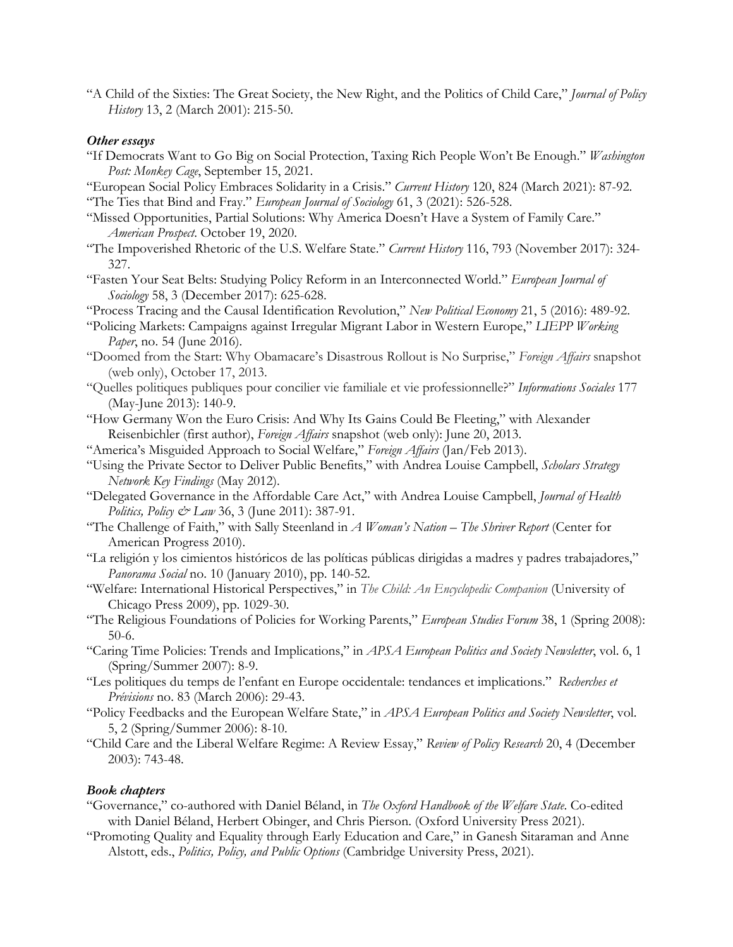"A Child of the Sixties: The Great Society, the New Right, and the Politics of Child Care," *Journal of Policy History* 13, 2 (March 2001): 215-50.

#### *Other essays*

- "If Democrats Want to Go Big on Social Protection, Taxing Rich People Won't Be Enough." *Washington Post: Monkey Cage*, September 15, 2021.
- "European Social Policy Embraces Solidarity in a Crisis." *Current History* 120, 824 (March 2021): 87-92. "The Ties that Bind and Fray." *European Journal of Sociology* 61, 3 (2021): 526-528.
- "Missed Opportunities, Partial Solutions: Why America Doesn't Have a System of Family Care." *American Prospect*. October 19, 2020.
- "The Impoverished Rhetoric of the U.S. Welfare State." *Current History* 116, 793 (November 2017): 324- 327.
- "Fasten Your Seat Belts: Studying Policy Reform in an Interconnected World." *European Journal of Sociology* 58, 3 (December 2017): 625-628.
- "Process Tracing and the Causal Identification Revolution," *New Political Economy* 21, 5 (2016): 489-92.
- "Policing Markets: Campaigns against Irregular Migrant Labor in Western Europe," *LIEPP Working Paper*, no. 54 (June 2016).
- "Doomed from the Start: Why Obamacare's Disastrous Rollout is No Surprise," *Foreign Affairs* snapshot (web only), October 17, 2013.
- "Quelles politiques publiques pour concilier vie familiale et vie professionnelle?" *Informations Sociales* 177 (May-June 2013): 140-9.
- "How Germany Won the Euro Crisis: And Why Its Gains Could Be Fleeting," with Alexander Reisenbichler (first author), *Foreign Affairs* snapshot (web only): June 20, 2013.
- "America's Misguided Approach to Social Welfare," *Foreign Affairs* (Jan/Feb 2013).
- "Using the Private Sector to Deliver Public Benefits," with Andrea Louise Campbell, *Scholars Strategy Network Key Findings* (May 2012).
- "Delegated Governance in the Affordable Care Act," with Andrea Louise Campbell, *Journal of Health Politics, Policy & Law* 36, 3 (June 2011): 387-91.
- "The Challenge of Faith," with Sally Steenland in *A Woman's Nation – The Shriver Report* (Center for American Progress 2010).
- "La religión y los cimientos históricos de las políticas públicas dirigidas a madres y padres trabajadores," *Panorama Social* no. 10 (January 2010), pp. 140-52.
- "Welfare: International Historical Perspectives," in *The Child: An Encyclopedic Companion* (University of Chicago Press 2009), pp. 1029-30.
- "The Religious Foundations of Policies for Working Parents," *European Studies Forum* 38, 1 (Spring 2008): 50-6.
- "Caring Time Policies: Trends and Implications," in *APSA European Politics and Society Newsletter*, vol. 6, 1 (Spring/Summer 2007): 8-9.
- "Les politiques du temps de l'enfant en Europe occidentale: tendances et implications." *Recherches et Prévisions* no. 83 (March 2006): 29-43.
- "Policy Feedbacks and the European Welfare State," in *APSA European Politics and Society Newsletter*, vol. 5, 2 (Spring/Summer 2006): 8-10.
- "Child Care and the Liberal Welfare Regime: A Review Essay," *Review of Policy Research* 20, 4 (December 2003): 743-48.

### *Book chapters*

- "Governance," co-authored with Daniel Béland, in *The Oxford Handbook of the Welfare State*. Co-edited with Daniel Béland, Herbert Obinger, and Chris Pierson. (Oxford University Press 2021).
- "Promoting Quality and Equality through Early Education and Care," in Ganesh Sitaraman and Anne Alstott, eds., *Politics, Policy, and Public Options* (Cambridge University Press, 2021).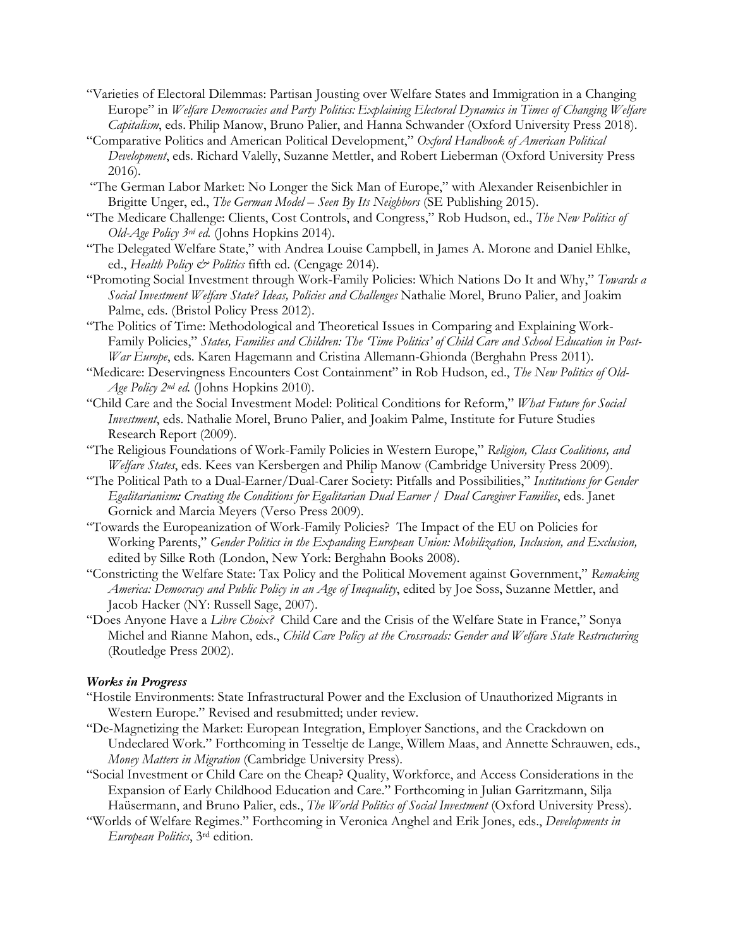- "Varieties of Electoral Dilemmas: Partisan Jousting over Welfare States and Immigration in a Changing Europe" in *Welfare Democracies and Party Politics: Explaining Electoral Dynamics in Times of Changing Welfare Capitalism*, eds. Philip Manow, Bruno Palier, and Hanna Schwander (Oxford University Press 2018).
- "Comparative Politics and American Political Development," *Oxford Handbook of American Political Development*, eds. Richard Valelly, Suzanne Mettler, and Robert Lieberman (Oxford University Press 2016).
- "The German Labor Market: No Longer the Sick Man of Europe," with Alexander Reisenbichler in Brigitte Unger, ed., *The German Model – Seen By Its Neighbors* (SE Publishing 2015).
- "The Medicare Challenge: Clients, Cost Controls, and Congress," Rob Hudson, ed., *The New Politics of Old-Age Policy 3rd ed.* (Johns Hopkins 2014).
- "The Delegated Welfare State," with Andrea Louise Campbell, in James A. Morone and Daniel Ehlke, ed., *Health Policy & Politics* fifth ed. (Cengage 2014).
- "Promoting Social Investment through Work-Family Policies: Which Nations Do It and Why," *Towards a Social Investment Welfare State? Ideas, Policies and Challenges* Nathalie Morel, Bruno Palier, and Joakim Palme, eds. (Bristol Policy Press 2012).
- "The Politics of Time: Methodological and Theoretical Issues in Comparing and Explaining Work-Family Policies," *States, Families and Children: The 'Time Politics' of Child Care and School Education in Post-War Europe*, eds. Karen Hagemann and Cristina Allemann-Ghionda (Berghahn Press 2011).
- "Medicare: Deservingness Encounters Cost Containment" in Rob Hudson, ed., *The New Politics of Old-Age Policy 2nd ed.* (Johns Hopkins 2010).
- "Child Care and the Social Investment Model: Political Conditions for Reform," *What Future for Social Investment*, eds. Nathalie Morel, Bruno Palier, and Joakim Palme, Institute for Future Studies Research Report (2009).
- "The Religious Foundations of Work-Family Policies in Western Europe," *Religion, Class Coalitions, and Welfare States*, eds. Kees van Kersbergen and Philip Manow (Cambridge University Press 2009).
- "The Political Path to a Dual-Earner/Dual-Carer Society: Pitfalls and Possibilities," *Institutions for Gender Egalitarianism: Creating the Conditions for Egalitarian Dual Earner / Dual Caregiver Families*, eds. Janet Gornick and Marcia Meyers (Verso Press 2009).
- "Towards the Europeanization of Work-Family Policies? The Impact of the EU on Policies for Working Parents," *Gender Politics in the Expanding European Union: Mobilization, Inclusion, and Exclusion,*  edited by Silke Roth (London, New York: Berghahn Books 2008).
- "Constricting the Welfare State: Tax Policy and the Political Movement against Government," *Remaking America: Democracy and Public Policy in an Age of Inequality*, edited by Joe Soss, Suzanne Mettler, and Jacob Hacker (NY: Russell Sage, 2007).
- "Does Anyone Have a *Libre Choix?* Child Care and the Crisis of the Welfare State in France," Sonya Michel and Rianne Mahon, eds., *Child Care Policy at the Crossroads: Gender and Welfare State Restructuring*  (Routledge Press 2002).

### *Works in Progress*

- "Hostile Environments: State Infrastructural Power and the Exclusion of Unauthorized Migrants in Western Europe." Revised and resubmitted; under review.
- "De-Magnetizing the Market: European Integration, Employer Sanctions, and the Crackdown on Undeclared Work." Forthcoming in Tesseltje de Lange, Willem Maas, and Annette Schrauwen, eds., *Money Matters in Migration* (Cambridge University Press).
- "Social Investment or Child Care on the Cheap? Quality, Workforce, and Access Considerations in the Expansion of Early Childhood Education and Care." Forthcoming in Julian Garritzmann, Silja Haüsermann, and Bruno Palier, eds., *The World Politics of Social Investment* (Oxford University Press).
- "Worlds of Welfare Regimes." Forthcoming in Veronica Anghel and Erik Jones, eds., *Developments in European Politics*, 3rd edition.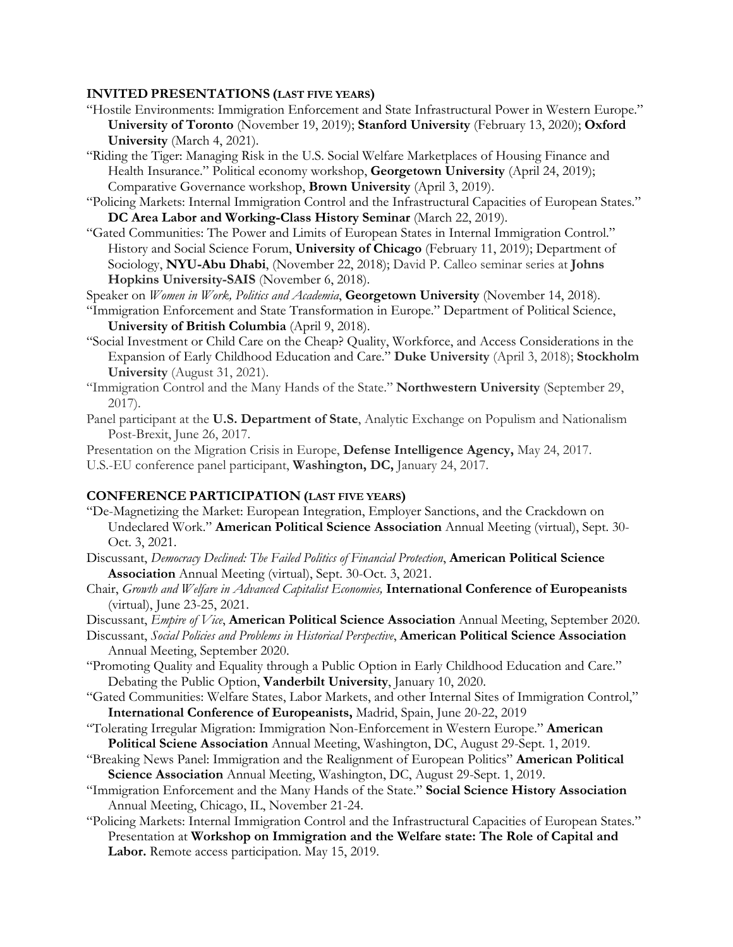#### **INVITED PRESENTATIONS (LAST FIVE YEARS)**

- "Hostile Environments: Immigration Enforcement and State Infrastructural Power in Western Europe." **University of Toronto** (November 19, 2019); **Stanford University** (February 13, 2020); **Oxford University** (March 4, 2021).
- "Riding the Tiger: Managing Risk in the U.S. Social Welfare Marketplaces of Housing Finance and Health Insurance." Political economy workshop, **Georgetown University** (April 24, 2019); Comparative Governance workshop, **Brown University** (April 3, 2019).
- "Policing Markets: Internal Immigration Control and the Infrastructural Capacities of European States." **DC Area Labor and Working-Class History Seminar** (March 22, 2019).
- "Gated Communities: The Power and Limits of European States in Internal Immigration Control." History and Social Science Forum, **University of Chicago** (February 11, 2019); Department of Sociology, **NYU-Abu Dhabi**, (November 22, 2018); David P. Calleo seminar series at **Johns Hopkins University-SAIS** (November 6, 2018).
- Speaker on *Women in Work, Politics and Academia*, **Georgetown University** (November 14, 2018).
- "Immigration Enforcement and State Transformation in Europe." Department of Political Science, **University of British Columbia** (April 9, 2018).
- "Social Investment or Child Care on the Cheap? Quality, Workforce, and Access Considerations in the Expansion of Early Childhood Education and Care." **Duke University** (April 3, 2018); **Stockholm University** (August 31, 2021).
- "Immigration Control and the Many Hands of the State." **Northwestern University** (September 29, 2017).
- Panel participant at the **U.S. Department of State**, Analytic Exchange on Populism and Nationalism Post-Brexit, June 26, 2017.

Presentation on the Migration Crisis in Europe, **Defense Intelligence Agency,** May 24, 2017. U.S.-EU conference panel participant, **Washington, DC,** January 24, 2017.

#### **CONFERENCE PARTICIPATION (LAST FIVE YEARS)**

- "De-Magnetizing the Market: European Integration, Employer Sanctions, and the Crackdown on Undeclared Work." **American Political Science Association** Annual Meeting (virtual), Sept. 30- Oct. 3, 2021.
- Discussant, *Democracy Declined: The Failed Politics of Financial Protection*, **American Political Science Association** Annual Meeting (virtual), Sept. 30-Oct. 3, 2021.
- Chair, *Growth and Welfare in Advanced Capitalist Economies,* **International Conference of Europeanists** (virtual), June 23-25, 2021.

Discussant, *Empire of Vice*, **American Political Science Association** Annual Meeting, September 2020.

- Discussant, *Social Policies and Problems in Historical Perspective*, **American Political Science Association** Annual Meeting, September 2020.
- "Promoting Quality and Equality through a Public Option in Early Childhood Education and Care." Debating the Public Option, **Vanderbilt University**, January 10, 2020.
- "Gated Communities: Welfare States, Labor Markets, and other Internal Sites of Immigration Control," **International Conference of Europeanists,** Madrid, Spain, June 20-22, 2019
- "Tolerating Irregular Migration: Immigration Non-Enforcement in Western Europe." **American Political Sciene Association** Annual Meeting, Washington, DC, August 29-Sept. 1, 2019.
- "Breaking News Panel: Immigration and the Realignment of European Politics" **American Political Science Association** Annual Meeting, Washington, DC, August 29-Sept. 1, 2019.
- "Immigration Enforcement and the Many Hands of the State." **Social Science History Association**  Annual Meeting, Chicago, IL, November 21-24.
- "Policing Markets: Internal Immigration Control and the Infrastructural Capacities of European States." Presentation at **Workshop on Immigration and the Welfare state: The Role of Capital and Labor.** Remote access participation. May 15, 2019.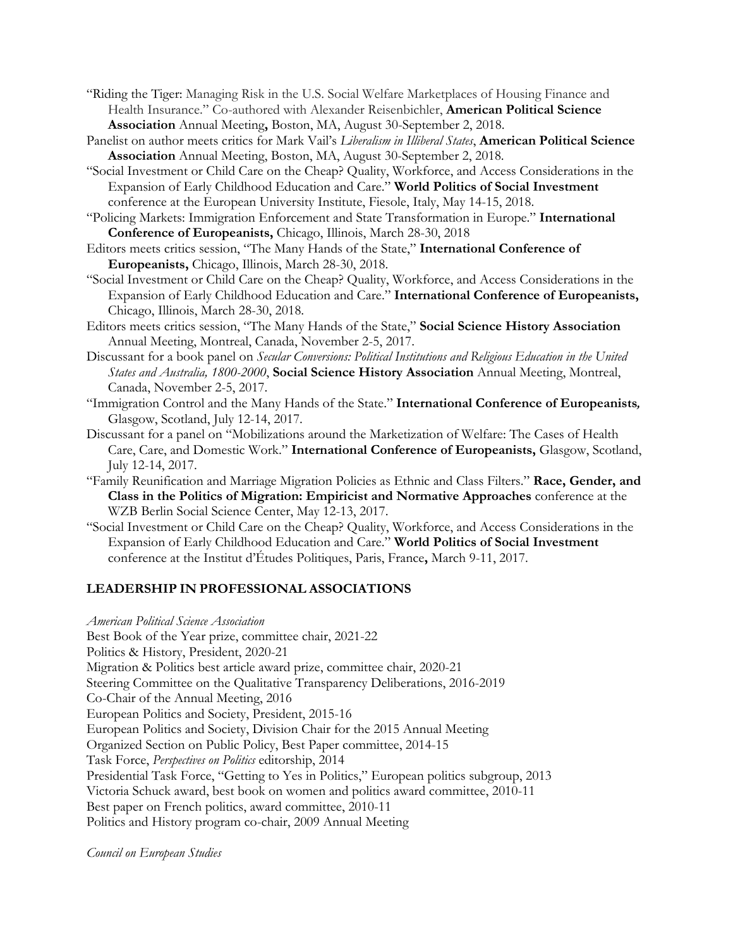- "Riding the Tiger: Managing Risk in the U.S. Social Welfare Marketplaces of Housing Finance and Health Insurance." Co-authored with Alexander Reisenbichler, **American Political Science Association** Annual Meeting**,** Boston, MA, August 30-September 2, 2018.
- Panelist on author meets critics for Mark Vail's *Liberalism in Illiberal States*, **American Political Science Association** Annual Meeting, Boston, MA, August 30-September 2, 2018.
- "Social Investment or Child Care on the Cheap? Quality, Workforce, and Access Considerations in the Expansion of Early Childhood Education and Care." **World Politics of Social Investment** conference at the European University Institute, Fiesole, Italy, May 14-15, 2018.

"Policing Markets: Immigration Enforcement and State Transformation in Europe." **International Conference of Europeanists,** Chicago, Illinois, March 28-30, 2018

- Editors meets critics session, "The Many Hands of the State," **International Conference of Europeanists,** Chicago, Illinois, March 28-30, 2018.
- "Social Investment or Child Care on the Cheap? Quality, Workforce, and Access Considerations in the Expansion of Early Childhood Education and Care." **International Conference of Europeanists,** Chicago, Illinois, March 28-30, 2018.
- Editors meets critics session, "The Many Hands of the State," **Social Science History Association** Annual Meeting, Montreal, Canada, November 2-5, 2017.
- Discussant for a book panel on *Secular Conversions: Political Institutions and Religious Education in the United States and Australia, 1800-2000*, **Social Science History Association** Annual Meeting, Montreal, Canada, November 2-5, 2017.
- "Immigration Control and the Many Hands of the State." **International Conference of Europeanists***,* Glasgow, Scotland, July 12-14, 2017.
- Discussant for a panel on "Mobilizations around the Marketization of Welfare: The Cases of Health Care, Care, and Domestic Work." **International Conference of Europeanists,** Glasgow, Scotland, July 12-14, 2017.
- "Family Reunification and Marriage Migration Policies as Ethnic and Class Filters." **Race, Gender, and Class in the Politics of Migration: Empiricist and Normative Approaches** conference at the WZB Berlin Social Science Center, May 12-13, 2017.
- "Social Investment or Child Care on the Cheap? Quality, Workforce, and Access Considerations in the Expansion of Early Childhood Education and Care." **World Politics of Social Investment** conference at the Institut d'Études Politiques, Paris, France**,** March 9-11, 2017.

# **LEADERSHIP IN PROFESSIONAL ASSOCIATIONS**

*American Political Science Association*

Best Book of the Year prize, committee chair, 2021-22

Politics & History, President, 2020-21

Migration & Politics best article award prize, committee chair, 2020-21

Steering Committee on the Qualitative Transparency Deliberations, 2016-2019

- Co-Chair of the Annual Meeting, 2016
- European Politics and Society, President, 2015-16

European Politics and Society, Division Chair for the 2015 Annual Meeting

Organized Section on Public Policy, Best Paper committee, 2014-15

Task Force, *Perspectives on Politics* editorship, 2014

Presidential Task Force, "Getting to Yes in Politics," European politics subgroup, 2013

Victoria Schuck award, best book on women and politics award committee, 2010-11

Best paper on French politics, award committee, 2010-11

Politics and History program co-chair, 2009 Annual Meeting

*Council on European Studies*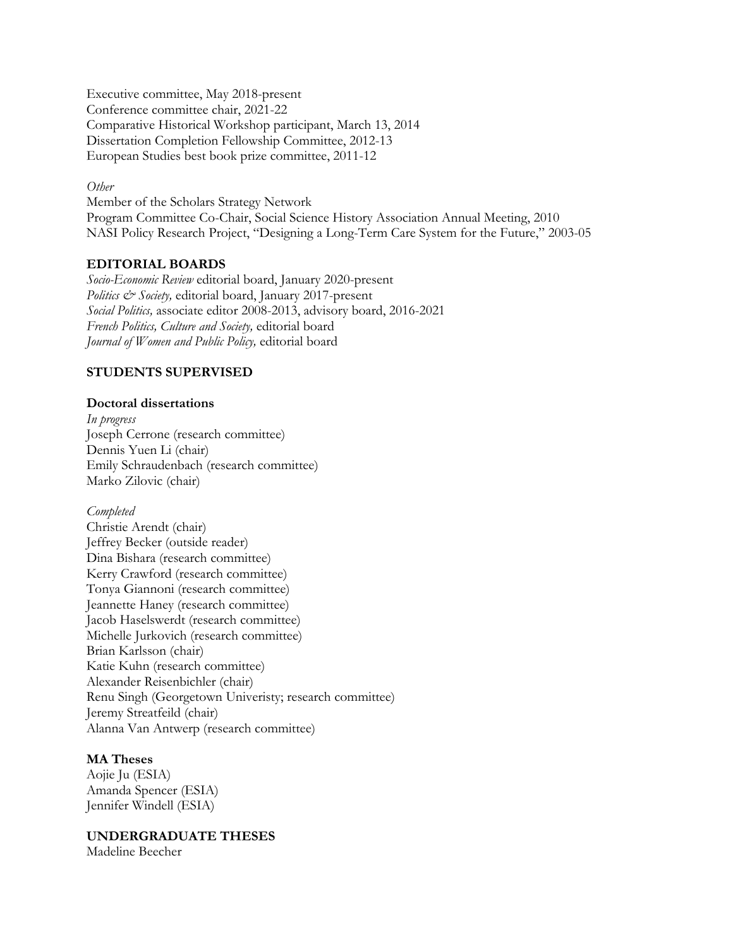Executive committee, May 2018-present Conference committee chair, 2021-22 Comparative Historical Workshop participant, March 13, 2014 Dissertation Completion Fellowship Committee, 2012-13 European Studies best book prize committee, 2011-12

#### *Other*

Member of the Scholars Strategy Network Program Committee Co-Chair, Social Science History Association Annual Meeting, 2010 NASI Policy Research Project, "Designing a Long-Term Care System for the Future," 2003-05

## **EDITORIAL BOARDS**

*Socio-Economic Review* editorial board, January 2020-present *Politics & Society,* editorial board, January 2017-present *Social Politics,* associate editor 2008-2013, advisory board, 2016-2021 *French Politics, Culture and Society,* editorial board *Journal of Women and Public Policy,* editorial board

## **STUDENTS SUPERVISED**

### **Doctoral dissertations**

*In progress* Joseph Cerrone (research committee) Dennis Yuen Li (chair) Emily Schraudenbach (research committee) Marko Zilovic (chair)

*Completed* Christie Arendt (chair) Jeffrey Becker (outside reader) Dina Bishara (research committee) Kerry Crawford (research committee) Tonya Giannoni (research committee) Jeannette Haney (research committee) Jacob Haselswerdt (research committee) Michelle Jurkovich (research committee) Brian Karlsson (chair) Katie Kuhn (research committee) Alexander Reisenbichler (chair) Renu Singh (Georgetown Univeristy; research committee) Jeremy Streatfeild (chair) Alanna Van Antwerp (research committee)

### **MA Theses**

Aojie Ju (ESIA) Amanda Spencer (ESIA) Jennifer Windell (ESIA)

**UNDERGRADUATE THESES**

Madeline Beecher